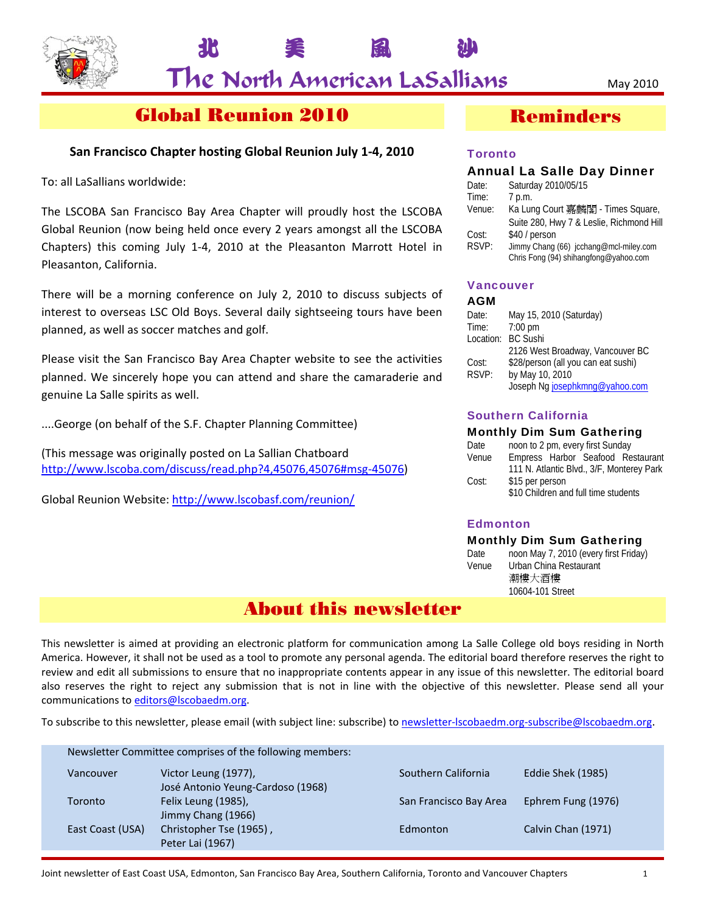

北 美 風 沙

# Global Reunion 2010

## **San Francisco Chapter hosting Global Reunion July 1‐4, 2010**

To: all LaSallians worldwide:

The LSCOBA San Francisco Bay Area Chapter will proudly host the LSCOBA Global Reunion (now being held once every 2 years amongst all the LSCOBA Chapters) this coming July 1‐4, 2010 at the Pleasanton Marrott Hotel in Pleasanton, California.

There will be a morning conference on July 2, 2010 to discuss subjects of interest to overseas LSC Old Boys. Several daily sightseeing tours have been planned, as well as soccer matches and golf.

Please visit the San Francisco Bay Area Chapter website to see the activities planned. We sincerely hope you can attend and share the camaraderie and genuine La Salle spirits as well.

....George (on behalf of the S.F. Chapter Planning Committee)

(This message was originally posted on La Sallian Chatboard http://www.lscoba.com/discuss/read.php?4,45076,45076#msg‐45076)

Global Reunion Website: http://www.lscobasf.com/reunion/

# Reminders

## **Toronto**

| <b>Annual La Salle Day Dinner</b> |                                                                                 |  |
|-----------------------------------|---------------------------------------------------------------------------------|--|
| Date:                             | Saturday 2010/05/15                                                             |  |
| Time:                             | 7 p.m.                                                                          |  |
| Venue:                            | Ka Lung Court 嘉麟閣 - Times Square,                                               |  |
|                                   | Suite 280, Hwy 7 & Leslie, Richmond Hill                                        |  |
| Cost:                             | \$40 / person                                                                   |  |
| RSVP:                             | Jimmy Chang (66) jcchang@mcl-miley.com<br>Chris Fong (94) shihangfong@yahoo.com |  |

## Vancouver

### AGM

| Date:     | May 15, 2010 (Saturday)             |
|-----------|-------------------------------------|
| Time:     | $7:00$ pm                           |
| Location: | <b>BC Sushi</b>                     |
|           | 2126 West Broadway, Vancouver BC    |
| Cost:     | \$28/person (all you can eat sushi) |
| RSVP:     | by May 10, 2010                     |
|           | Joseph Ng josephkmng@yahoo.com      |

## Southern California

### Monthly Dim Sum Gathering

| Date                     | noon to 2 pm, every first Sunday          |  |
|--------------------------|-------------------------------------------|--|
| Venue                    | Empress Harbor Seafood Restaurant         |  |
|                          | 111 N. Atlantic Blvd., 3/F, Monterey Park |  |
| Cost:<br>\$15 per person |                                           |  |
|                          | \$10 Children and full time students      |  |

## **Edmonton**

### Monthly Dim Sum Gathering

Date noon May 7, 2010 (every first Friday) Venue Urban China Restaurant 潮樓大酒樓 10604-101 Street

## About this newsletter

This newsletter is aimed at providing an electronic platform for communication among La Salle College old boys residing in North America. However, it shall not be used as a tool to promote any personal agenda. The editorial board therefore reserves the right to review and edit all submissions to ensure that no inappropriate contents appear in any issue of this newsletter. The editorial board also reserves the right to reject any submission that is not in line with the objective of this newsletter. Please send all your communications to editors@lscobaedm.org.

To subscribe to this newsletter, please email (with subject line: subscribe) to newsletter-lscobaedm.org-subscribe@lscobaedm.org.

| Newsletter Committee comprises of the following members: |                                                           |                        |                    |
|----------------------------------------------------------|-----------------------------------------------------------|------------------------|--------------------|
| Vancouver                                                | Victor Leung (1977),<br>José Antonio Yeung-Cardoso (1968) | Southern California    | Eddie Shek (1985)  |
| Toronto                                                  | Felix Leung (1985),<br>Jimmy Chang (1966)                 | San Francisco Bay Area | Ephrem Fung (1976) |
| East Coast (USA)                                         | Christopher Tse (1965),<br>Peter Lai (1967)               | Edmonton               | Calvin Chan (1971) |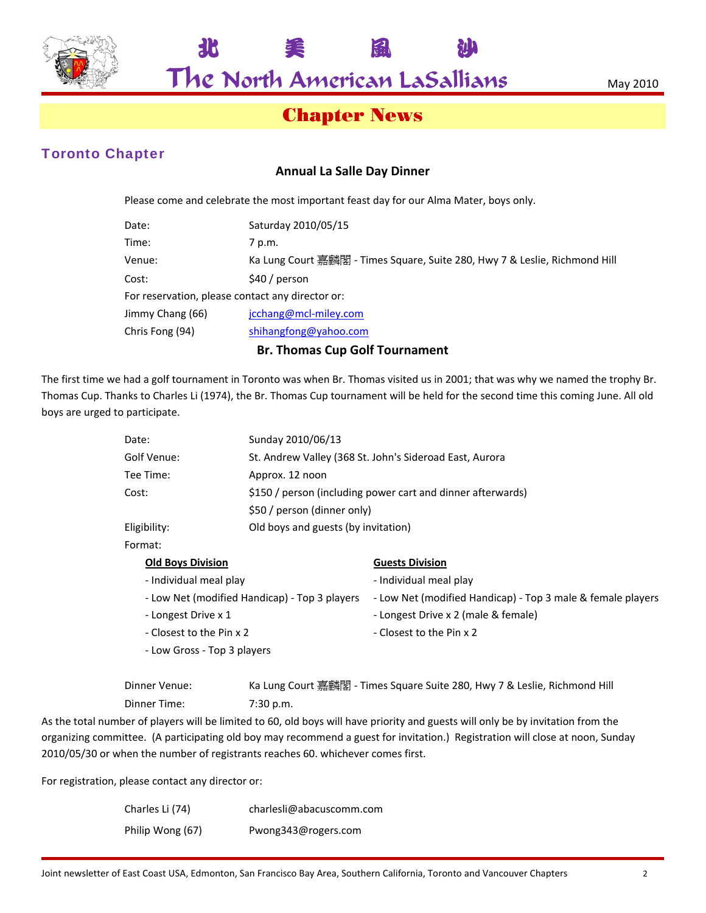

北 美 風 沙

# Chapter News

## Toronto Chapter

## **Annual La Salle Day Dinner**

Please come and celebrate the most important feast day for our Alma Mater, boys only.

| Date:                                            | Saturday 2010/05/15                                                        |
|--------------------------------------------------|----------------------------------------------------------------------------|
| Time:                                            | 7 p.m.                                                                     |
| Venue:                                           | Ka Lung Court 嘉麟閣 - Times Square, Suite 280, Hwy 7 & Leslie, Richmond Hill |
| Cost:                                            | $$40/$ person                                                              |
| For reservation, please contact any director or: |                                                                            |
| Jimmy Chang (66)                                 | jcchang@mcl-miley.com                                                      |
| Chris Fong (94)                                  | shihangfong@yahoo.com                                                      |
|                                                  |                                                                            |

### **Br. Thomas Cup Golf Tournament**

The first time we had a golf tournament in Toronto was when Br. Thomas visited us in 2001; that was why we named the trophy Br. Thomas Cup. Thanks to Charles Li (1974), the Br. Thomas Cup tournament will be held for the second time this coming June. All old boys are urged to participate.

| Date:                    | Sunday 2010/06/13                                           |
|--------------------------|-------------------------------------------------------------|
| Golf Venue:              | St. Andrew Valley (368 St. John's Sideroad East, Aurora     |
| Tee Time:                | Approx. 12 noon                                             |
| Cost:                    | \$150 / person (including power cart and dinner afterwards) |
|                          | \$50 / person (dinner only)                                 |
| Eligibility:             | Old boys and guests (by invitation)                         |
| Format:                  |                                                             |
| <b>Old Boys Division</b> | <b>Guests Division</b>                                      |

| - Individual meal play                        | - Individual meal play                                      |
|-----------------------------------------------|-------------------------------------------------------------|
| - Low Net (modified Handicap) - Top 3 players | - Low Net (modified Handicap) - Top 3 male & female players |
| - Longest Drive x 1                           | - Longest Drive x 2 (male & female)                         |
| - Closest to the Pin x 2                      | - Closest to the Pin x 2                                    |
| - Low Gross - Top 3 players                   |                                                             |
|                                               |                                                             |

| Dinner Venue: | Ka Lung Court 嘉麟閣 - Times Square Suite 280, Hwy 7 & Leslie, Richmond Hill |
|---------------|---------------------------------------------------------------------------|
| Dinner Time:  | 7:30 p.m.                                                                 |

As the total number of players will be limited to 60, old boys will have priority and guests will only be by invitation from the organizing committee. (A participating old boy may recommend a guest for invitation.) Registration will close at noon, Sunday 2010/05/30 or when the number of registrants reaches 60. whichever comes first.

For registration, please contact any director or:

| Charles Li (74)  | charlesli@abacuscomm.com |
|------------------|--------------------------|
| Philip Wong (67) | Pwong343@rogers.com      |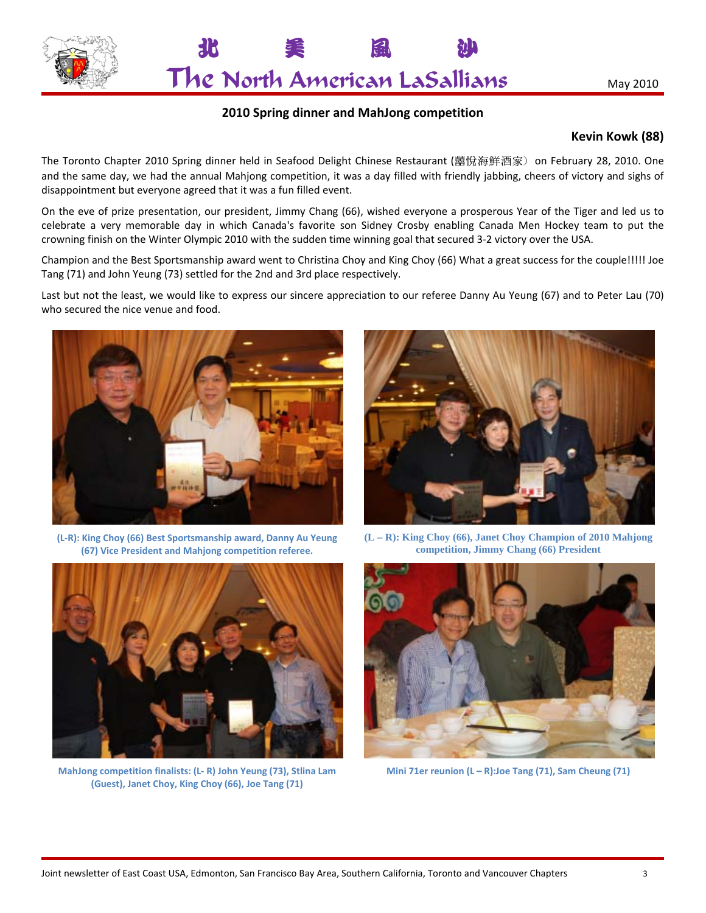



## **2010 Spring dinner and MahJong competition**

## **Kevin Kowk (88)**

The Toronto Chapter 2010 Spring dinner held in Seafood Delight Chinese Restaurant (囍悅海鮮酒家) on February 28, 2010. One and the same day, we had the annual Mahjong competition, it was a day filled with friendly jabbing, cheers of victory and sighs of disappointment but everyone agreed that it was a fun filled event.

On the eve of prize presentation, our president, Jimmy Chang (66), wished everyone a prosperous Year of the Tiger and led us to celebrate a very memorable day in which Canada's favorite son Sidney Crosby enabling Canada Men Hockey team to put the crowning finish on the Winter Olympic 2010 with the sudden time winning goal that secured 3‐2 victory over the USA.

Champion and the Best Sportsmanship award went to Christina Choy and King Choy (66) What a great success for the couple!!!!! Joe Tang (71) and John Yeung (73) settled for the 2nd and 3rd place respectively.

Last but not the least, we would like to express our sincere appreciation to our referee Danny Au Yeung (67) and to Peter Lau (70) who secured the nice venue and food.



**(L‐R): King Choy (66) Best Sportsmanship award, Danny Au Yeung (67) Vice President and Mahjong competition referee.**



**(L – R): King Choy (66), Janet Choy Champion of 2010 Mahjong competition, Jimmy Chang (66) President**



**MahJong competition finalists: (L‐ R) John Yeung (73), Stlina Lam (Guest), Janet Choy, King Choy (66), Joe Tang (71)**



**Mini 71er reunion (L – R):Joe Tang (71), Sam Cheung (71)**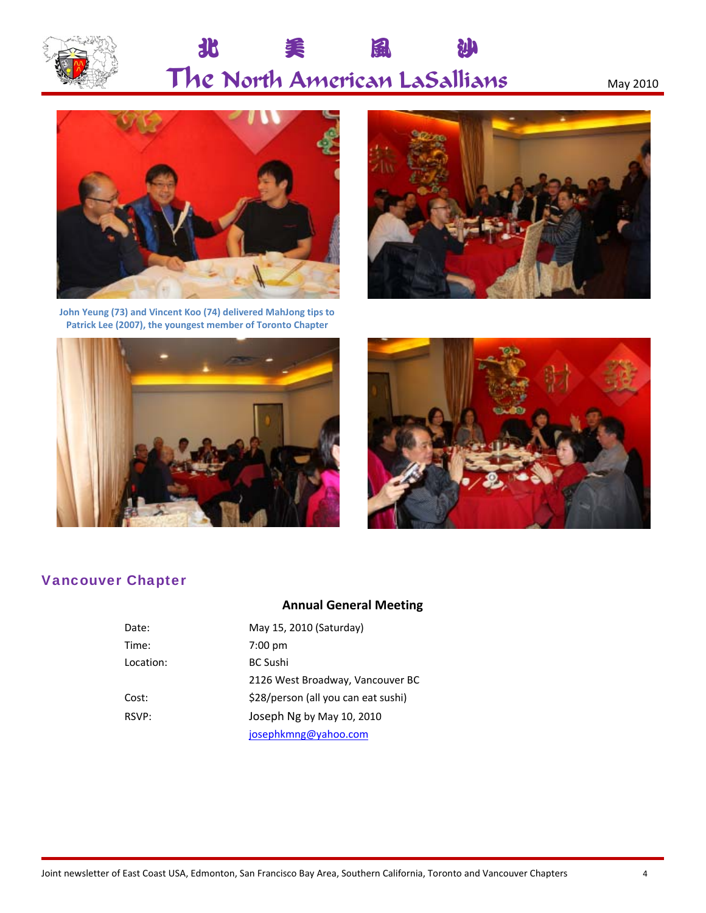

#### 北 風 渠 沙 The North American LaSallians



John Yeung (73) and Vincent Koo (74) delivered MahJong tips to Patrick Lee (2007), the youngest member of Toronto Chapter







## **Vancouver Chapter**

## **Annual General Meeting**

| Date:     | May 15, 2010 (Saturday)             |
|-----------|-------------------------------------|
| Time:     | $7:00$ pm                           |
| Location: | <b>BC Sushi</b>                     |
|           | 2126 West Broadway, Vancouver BC    |
| Cost:     | \$28/person (all you can eat sushi) |
| RSVP:     | Joseph Ng by May 10, 2010           |
|           | josephkmng@yahoo.com                |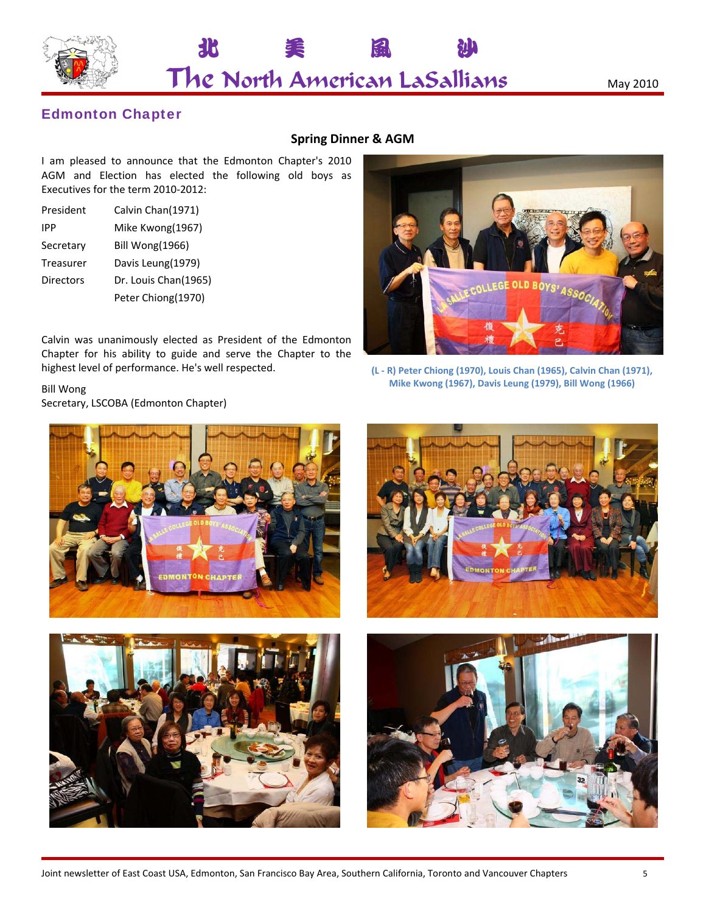

北 美 風 沙

## Edmonton Chapter

## **Spring Dinner & AGM**

I am pleased to announce that the Edmonton Chapter's 2010 AGM and Election has elected the following old boys as Executives for the term 2010‐2012:

| President        | Calvin Chan(1971)    |
|------------------|----------------------|
| <b>IPP</b>       | Mike Kwong(1967)     |
| Secretary        | Bill Wong(1966)      |
| Treasurer        | Davis Leung(1979)    |
| <b>Directors</b> | Dr. Louis Chan(1965) |
|                  | Peter Chiong(1970)   |

Calvin was unanimously elected as President of the Edmonton Chapter for his ability to guide and serve the Chapter to the highest level of performance. He's well respected.

Bill Wong Secretary, LSCOBA (Edmonton Chapter)







**(L ‐ R) Peter Chiong (1970), Louis Chan (1965), Calvin Chan (1971), Mike Kwong (1967), Davis Leung (1979), Bill Wong (1966)**